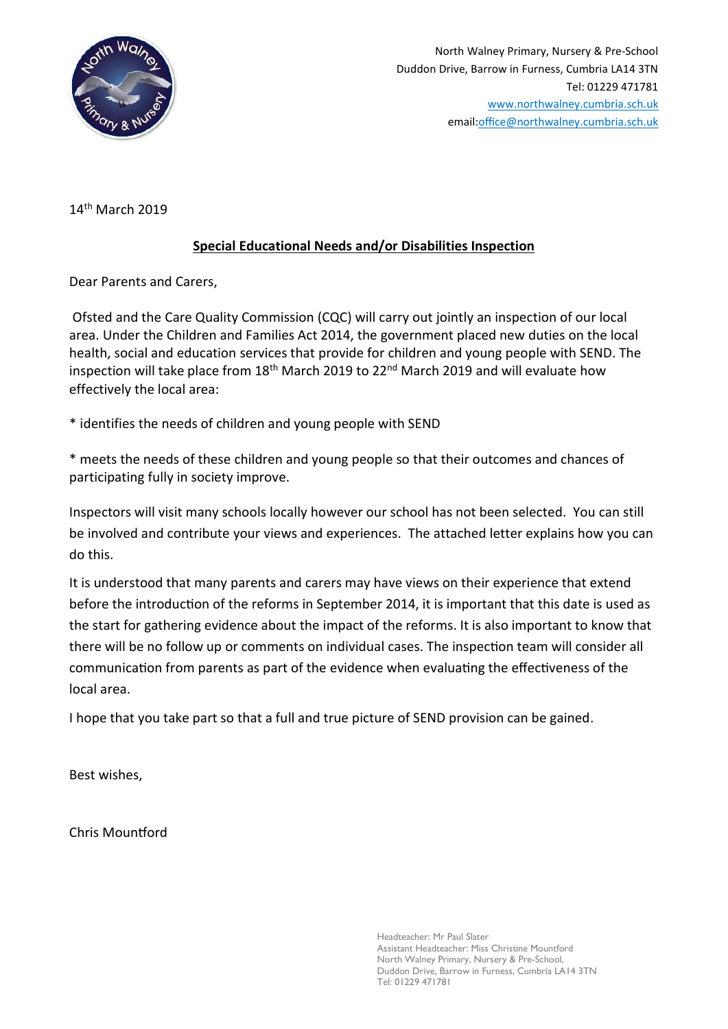

14th March 2019

## Special Educational Needs and/or Disabilities Inspection

Dear Parents and Carers,

 Ofsted and the Care Quality Commission (CQC) will carry out jointly an inspection of our local area. Under the Children and Families Act 2014, the government placed new duties on the local health, social and education services that provide for children and young people with SEND. The inspection will take place from 18<sup>th</sup> March 2019 to 22<sup>nd</sup> March 2019 and will evaluate how effectively the local area:

\* identifies the needs of children and young people with SEND

\* meets the needs of these children and young people so that their outcomes and chances of participating fully in society improve.

Inspectors will visit many schools locally however our school has not been selected. You can still be involved and contribute your views and experiences. The attached letter explains how you can do this.

It is understood that many parents and carers may have views on their experience that extend before the introduction of the reforms in September 2014, it is important that this date is used as the start for gathering evidence about the impact of the reforms. It is also important to know that there will be no follow up or comments on individual cases. The inspection team will consider all communication from parents as part of the evidence when evaluating the effectiveness of the local area.

I hope that you take part so that a full and true picture of SEND provision can be gained.

Best wishes,

Chris Mountford

Headteacher: Mr Paul Slater Assistant Headteacher: Miss Christine Mountford North Walney Primary, Nursery & Pre-School, Duddon Drive, Barrow in Furness, Cumbria LA14 3TN Tel: 01229 471781